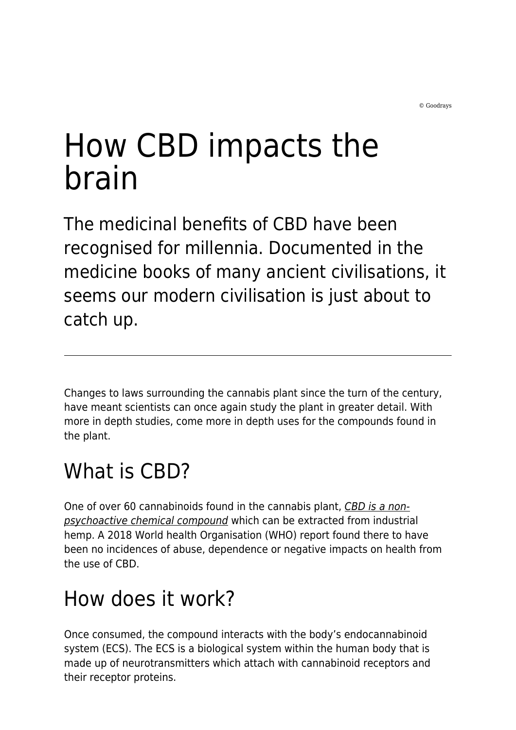# How CBD impacts the brain

The medicinal benefits of CBD have been recognised for millennia. Documented in the medicine books of many ancient civilisations, it seems our modern civilisation is just about to catch up.

Changes to laws surrounding the cannabis plant since the turn of the century, have meant scientists can once again study the plant in greater detail. With more in depth studies, come more in depth uses for the compounds found in the plant.

# What is CBD?

One of over 60 cannabinoids found in the cannabis plant, [CBD is a non](https://www.youtube.com/watch?v=n0dE1rRhZDM)[psychoactive chemical compound](https://www.youtube.com/watch?v=n0dE1rRhZDM) which can be extracted from industrial hemp. A 2018 World health Organisation (WHO) report found there to have been no incidences of abuse, dependence or negative impacts on health from the use of CBD.

# How does it work?

Once consumed, the compound interacts with the body's endocannabinoid system (ECS). The ECS is a biological system within the human body that is made up of neurotransmitters which attach with cannabinoid receptors and their receptor proteins.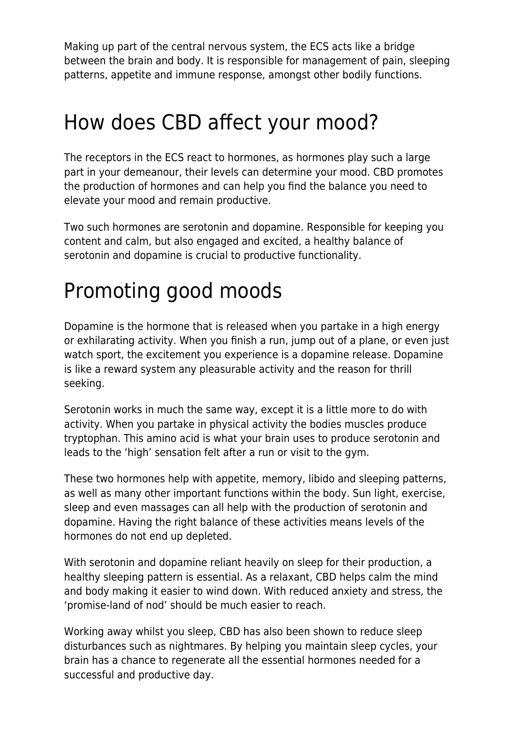Making up part of the central nervous system, the ECS acts like a bridge between the brain and body. It is responsible for management of pain, sleeping patterns, appetite and immune response, amongst other bodily functions.

#### How does CBD affect your mood?

The receptors in the ECS react to hormones, as hormones play such a large part in your demeanour, their levels can determine your mood. CBD promotes the production of hormones and can help you find the balance you need to elevate your mood and remain productive.

Two such hormones are serotonin and dopamine. Responsible for keeping you content and calm, but also engaged and excited, a healthy balance of serotonin and dopamine is crucial to productive functionality.

## Promoting good moods

Dopamine is the hormone that is released when you partake in a high energy or exhilarating activity. When you finish a run, jump out of a plane, or even just watch sport, the excitement you experience is a dopamine release. Dopamine is like a reward system any pleasurable activity and the reason for thrill seeking.

Serotonin works in much the same way, except it is a little more to do with activity. When you partake in physical activity the bodies muscles produce tryptophan. This amino acid is what your brain uses to produce serotonin and leads to the 'high' sensation felt after a run or visit to the gym.

These two hormones help with appetite, memory, libido and sleeping patterns, as well as many other important functions within the body. Sun light, exercise, sleep and even massages can all help with the production of serotonin and dopamine. Having the right balance of these activities means levels of the hormones do not end up depleted.

With serotonin and dopamine reliant heavily on sleep for their production, a healthy sleeping pattern is essential. As a relaxant, CBD helps calm the mind and body making it easier to wind down. With reduced anxiety and stress, the 'promise-land of nod' should be much easier to reach.

Working away whilst you sleep, CBD has also been shown to reduce sleep disturbances such as nightmares. By helping you maintain sleep cycles, your brain has a chance to regenerate all the essential hormones needed for a successful and productive day.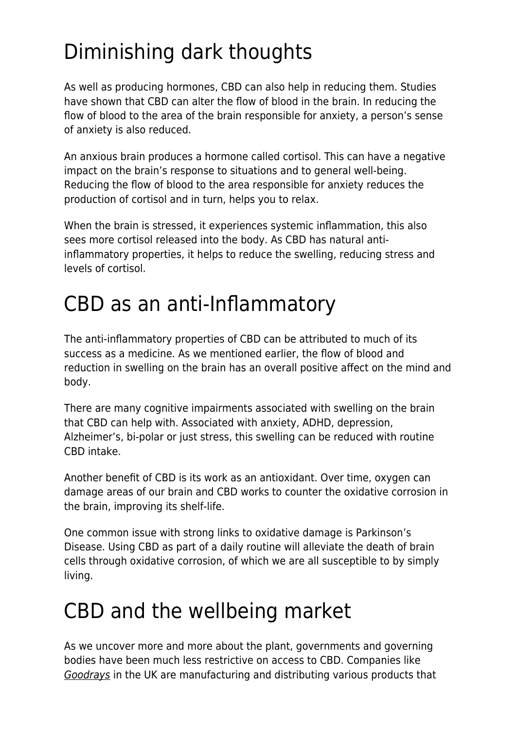## Diminishing dark thoughts

As well as producing hormones, CBD can also help in reducing them. Studies have shown that CBD can alter the flow of blood in the brain. In reducing the flow of blood to the area of the brain responsible for anxiety, a person's sense of anxiety is also reduced.

An anxious brain produces a hormone called cortisol. This can have a negative impact on the brain's response to situations and to general well-being. Reducing the flow of blood to the area responsible for anxiety reduces the production of cortisol and in turn, helps you to relax.

When the brain is stressed, it experiences systemic inflammation, this also sees more cortisol released into the body. As CBD has natural antiinflammatory properties, it helps to reduce the swelling, reducing stress and levels of cortisol.

## CBD as an anti-Inflammatory

The anti-inflammatory properties of CBD can be attributed to much of its success as a medicine. As we mentioned earlier, the flow of blood and reduction in swelling on the brain has an overall positive affect on the mind and body.

There are many cognitive impairments associated with swelling on the brain that CBD can help with. Associated with anxiety, ADHD, depression, Alzheimer's, bi-polar or just stress, this swelling can be reduced with routine CBD intake.

Another benefit of CBD is its work as an antioxidant. Over time, oxygen can damage areas of our brain and CBD works to counter the oxidative corrosion in the brain, improving its shelf-life.

One common issue with strong links to oxidative damage is Parkinson's Disease. Using CBD as part of a daily routine will alleviate the death of brain cells through oxidative corrosion, of which we are all susceptible to by simply living.

#### CBD and the wellbeing market

As we uncover more and more about the plant, governments and governing bodies have been much less restrictive on access to CBD. Companies like [Goodrays](https://www.goodrays.com/) in the UK are manufacturing and distributing various products that